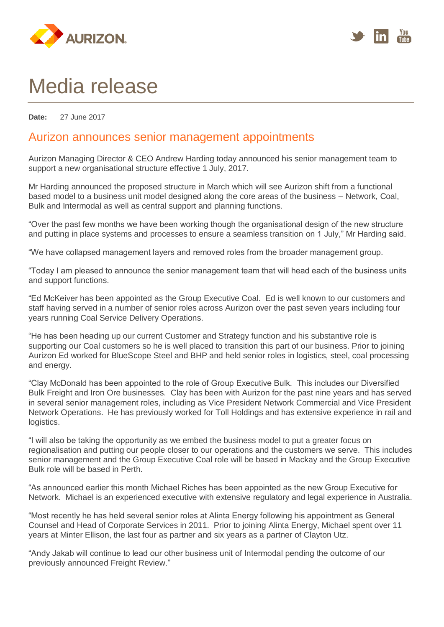



## Media release

**Date:** 27 June 2017

## Aurizon announces senior management appointments

Aurizon Managing Director & CEO Andrew Harding today announced his senior management team to support a new organisational structure effective 1 July, 2017.

Mr Harding announced the proposed structure in March which will see Aurizon shift from a functional based model to a business unit model designed along the core areas of the business – Network, Coal, Bulk and Intermodal as well as central support and planning functions.

"Over the past few months we have been working though the organisational design of the new structure and putting in place systems and processes to ensure a seamless transition on 1 July," Mr Harding said.

"We have collapsed management layers and removed roles from the broader management group.

"Today I am pleased to announce the senior management team that will head each of the business units and support functions.

"Ed McKeiver has been appointed as the Group Executive Coal. Ed is well known to our customers and staff having served in a number of senior roles across Aurizon over the past seven years including four years running Coal Service Delivery Operations.

"He has been heading up our current Customer and Strategy function and his substantive role is supporting our Coal customers so he is well placed to transition this part of our business. Prior to joining Aurizon Ed worked for BlueScope Steel and BHP and held senior roles in logistics, steel, coal processing and energy.

"Clay McDonald has been appointed to the role of Group Executive Bulk. This includes our Diversified Bulk Freight and Iron Ore businesses. Clay has been with Aurizon for the past nine years and has served in several senior management roles, including as Vice President Network Commercial and Vice President Network Operations. He has previously worked for Toll Holdings and has extensive experience in rail and logistics.

"I will also be taking the opportunity as we embed the business model to put a greater focus on regionalisation and putting our people closer to our operations and the customers we serve. This includes senior management and the Group Executive Coal role will be based in Mackay and the Group Executive Bulk role will be based in Perth.

"As announced earlier this month Michael Riches has been appointed as the new Group Executive for Network. Michael is an experienced executive with extensive regulatory and legal experience in Australia.

"Most recently he has held several senior roles at Alinta Energy following his appointment as General Counsel and Head of Corporate Services in 2011. Prior to joining Alinta Energy, Michael spent over 11 years at Minter Ellison, the last four as partner and six years as a partner of Clayton Utz.

"Andy Jakab will continue to lead our other business unit of Intermodal pending the outcome of our previously announced Freight Review."